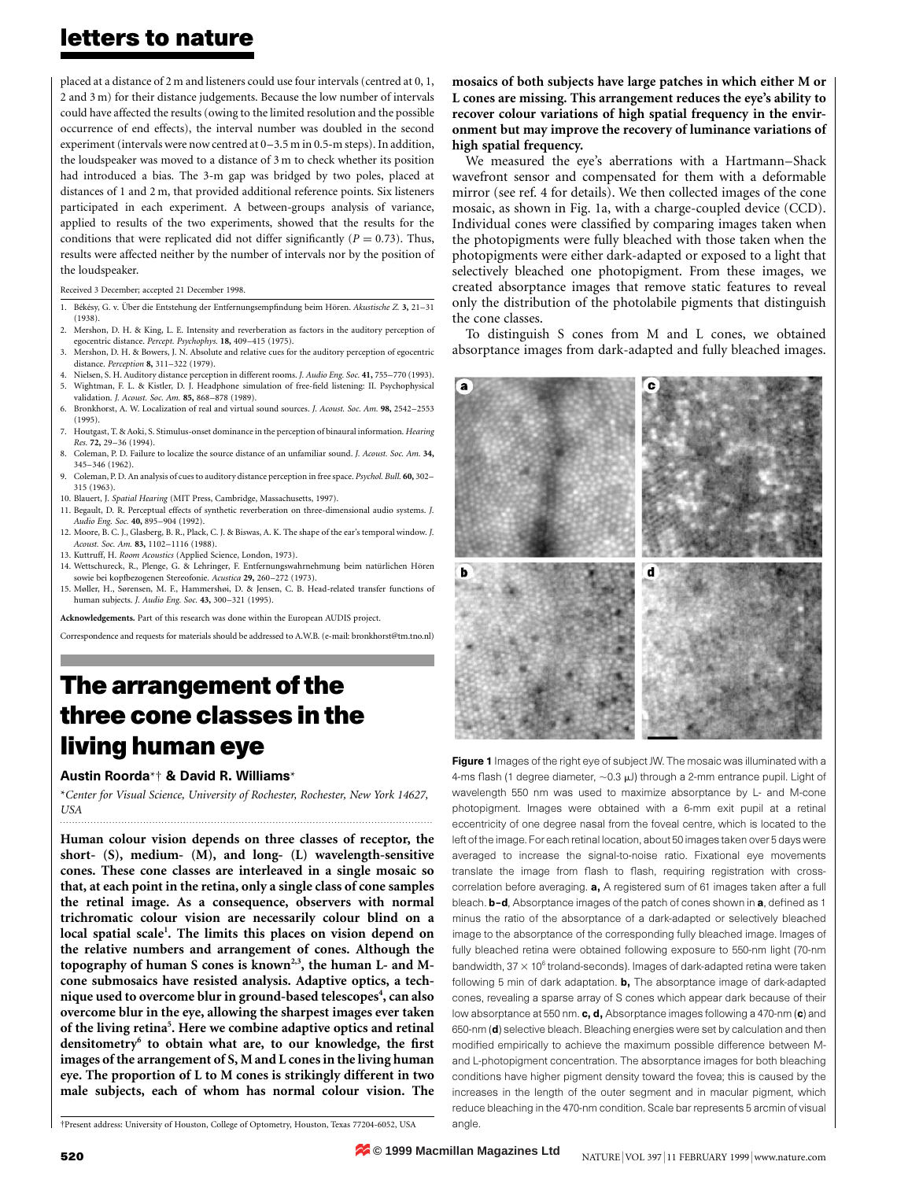## letters to nature

placed at a distance of 2 m and listeners could use four intervals (centred at 0, 1, 2 and 3 m) for their distance judgements. Because the low number of intervals could have affected the results (owing to the limited resolution and the possible occurrence of end effects), the interval number was doubled in the second experiment (intervals were now centred at 0-3.5 m in 0.5-m steps). In addition, the loudspeaker was moved to a distance of 3 m to check whether its position had introduced a bias. The 3-m gap was bridged by two poles, placed at distances of 1 and 2 m, that provided additional reference points. Six listeners participated in each experiment. A between-groups analysis of variance, applied to results of the two experiments, showed that the results for the conditions that were replicated did not differ significantly ( $P = 0.73$ ). Thus, results were affected neither by the number of intervals nor by the position of the loudspeaker.

Received 3 December; accepted 21 December 1998.

- 1. Békésy, G. v. Über die Entstehung der Entfernungsempfindung beim Hören. Akustische Z. 3, 21-31 (1938).
- 2. Mershon, D. H. & King, L. E. Intensity and reverberation as factors in the auditory perception of egocentric distance. Percept. Psychophys. 18, 409-415 (1975).
- 3. Mershon, D. H. & Bowers, J. N. Absolute and relative cues for the auditory perception of egocentric distance. *Perception* 8, 311-322 (1979).
- 4. Nielsen, S. H. Auditory distance perception in different rooms. J. Audio Eng. Soc. 41, 755-770 (1993). Wightman, F. L. & Kistler, D. J. Headphone simulation of free-field listening: II. Psychophysical
- validation. J. Acoust. Soc. Am. 85, 868-878 (1989). 6. Bronkhorst, A. W. Localization of real and virtual sound sources. J. Acoust. Soc. Am. 98, 2542-2553
- (1995). 7. Houtgast, T. & Aoki, S. Stimulus-onset dominance in the perception of binaural information. Hearing Res. 72, 29-36 (1994).
- 8. Coleman, P. D. Failure to localize the source distance of an unfamiliar sound. *J. Acoust. Soc. Am.* 34, 345±346 (1962).
- 9. Coleman, P. D. An analysis of cues to auditory distance perception in free space. Psychol. Bull. 60, 302-315 (1963).
- 10. Blauert, J. Spatial Hearing (MIT Press, Cambridge, Massachusetts, 1997).
- 11. Begault, D. R. Perceptual effects of synthetic reverberation on three-dimensional audio systems. J. Audio Eng. Soc. 40, 895-904 (1992).
- 12. Moore, B. C. J., Glasberg, B. R., Plack, C. J. & Biswas, A. K. The shape of the ear's temporal window. J. Acoust. Soc. Am. 83, 1102-1116 (1988).
- 13. Kuttruff, H. Room Acoustics (Applied Science, London, 1973).
- 14. Wettschureck, R., Plenge, G. & Lehringer, F. Entfernungswahrnehmung beim natürlichen Hören sowie bei kopfbezogenen Stereofonie. Acustica 29, 260-272 (1973).
- 15. Møller, H., Sørensen, M. F., Hammershøi, D. & Jensen, C. B. Head-related transfer functions of human subjects. J. Audio Eng. Soc. 43, 300-321 (1995).

Acknowledgements. Part of this research was done within the European AUDIS project.

Correspondence and requests for materials should be addressed to A.W.B. (e-mail: bronkhorst@tm.tno.nl)

# The arrangement of the three cone classes in the living human eye

#### Austin Roorda\*² & David R. Williams\*

\*Center for Visual Science, University of Rochester, Rochester, New York 14627, USA .........................................................................................................................

Human colour vision depends on three classes of receptor, the short- (S), medium- (M), and long- (L) wavelength-sensitive cones. These cone classes are interleaved in a single mosaic so that, at each point in the retina, only a single class of cone samples the retinal image. As a consequence, observers with normal trichromatic colour vision are necessarily colour blind on a local spatial scale<sup>1</sup>. The limits this places on vision depend on the relative numbers and arrangement of cones. Although the topography of human S cones is known<sup>2,3</sup>, the human L- and Mcone submosaics have resisted analysis. Adaptive optics, a technique used to overcome blur in ground-based telescopes<sup>4</sup>, can also overcome blur in the eye, allowing the sharpest images ever taken of the living retina<sup>5</sup>. Here we combine adaptive optics and retinal densitometry<sup>6</sup> to obtain what are, to our knowledge, the first images of the arrangement of S, M and L cones in the living human eye. The proportion of L to M cones is strikingly different in two male subjects, each of whom has normal colour vision. The

²Present address: University of Houston, College of Optometry, Houston, Texas 77204-6052, USA

mosaics of both subjects have large patches in which either M or L cones are missing. This arrangement reduces the eye's ability to recover colour variations of high spatial frequency in the environment but may improve the recovery of luminance variations of high spatial frequency.

We measured the eye's aberrations with a Hartmann-Shack wavefront sensor and compensated for them with a deformable mirror (see ref. 4 for details). We then collected images of the cone mosaic, as shown in Fig. 1a, with a charge-coupled device (CCD). Individual cones were classified by comparing images taken when the photopigments were fully bleached with those taken when the photopigments were either dark-adapted or exposed to a light that selectively bleached one photopigment. From these images, we created absorptance images that remove static features to reveal only the distribution of the photolabile pigments that distinguish the cone classes.

To distinguish S cones from M and L cones, we obtained absorptance images from dark-adapted and fully bleached images.



Figure 1 Images of the right eye of subject JW. The mosaic was illuminated with a 4-ms flash (1 degree diameter,  $\sim$  0.3  $\mu$ J) through a 2-mm entrance pupil. Light of wavelength 550 nm was used to maximize absorptance by L- and M-cone photopigment. Images were obtained with a 6-mm exit pupil at a retinal eccentricity of one degree nasal from the foveal centre, which is located to the left of the image. For each retinal location, about 50 images taken over 5 days were averaged to increase the signal-to-noise ratio. Fixational eye movements translate the image from flash to flash, requiring registration with crosscorrelation before averaging. a, A registered sum of 61 images taken after a full bleach. **b-d**, Absorptance images of the patch of cones shown in a, defined as 1 minus the ratio of the absorptance of a dark-adapted or selectively bleached image to the absorptance of the corresponding fully bleached image. Images of fully bleached retina were obtained following exposure to 550-nm light (70-nm bandwidth,  $37 \times 10^6$  troland-seconds). Images of dark-adapted retina were taken following 5 min of dark adaptation. **b**, The absorptance image of dark-adapted cones, revealing a sparse array of S cones which appear dark because of their low absorptance at 550 nm. c, d, Absorptance images following a 470-nm (c) and 650-nm (d) selective bleach. Bleaching energies were set by calculation and then modified empirically to achieve the maximum possible difference between Mand L-photopigment concentration. The absorptance images for both bleaching conditions have higher pigment density toward the fovea; this is caused by the increases in the length of the outer segment and in macular pigment, which reduce bleaching in the 470-nm condition. Scale bar represents 5 arcmin of visual angle.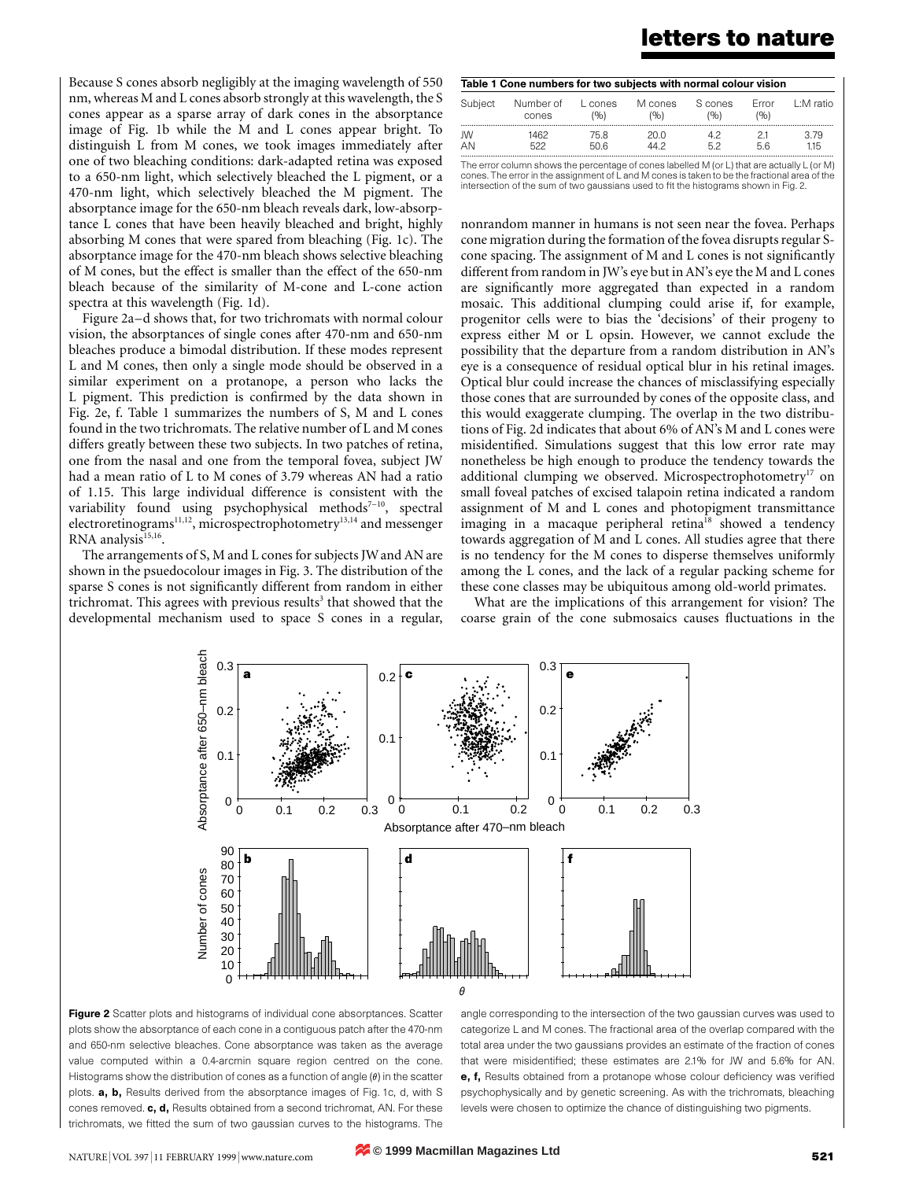### letters to nature

Because S cones absorb negligibly at the imaging wavelength of 550 nm, whereas M and L cones absorb strongly at this wavelength, the S cones appear as a sparse array of dark cones in the absorptance image of Fig. 1b while the M and L cones appear bright. To distinguish L from M cones, we took images immediately after one of two bleaching conditions: dark-adapted retina was exposed to a 650-nm light, which selectively bleached the L pigment, or a 470-nm light, which selectively bleached the M pigment. The absorptance image for the 650-nm bleach reveals dark, low-absorptance L cones that have been heavily bleached and bright, highly absorbing M cones that were spared from bleaching (Fig. 1c). The absorptance image for the 470-nm bleach shows selective bleaching of M cones, but the effect is smaller than the effect of the 650-nm bleach because of the similarity of M-cone and L-cone action spectra at this wavelength (Fig. 1d).

Figure 2a-d shows that, for two trichromats with normal colour vision, the absorptances of single cones after 470-nm and 650-nm bleaches produce a bimodal distribution. If these modes represent L and M cones, then only a single mode should be observed in a similar experiment on a protanope, a person who lacks the L pigment. This prediction is confirmed by the data shown in Fig. 2e, f. Table 1 summarizes the numbers of S, M and L cones found in the two trichromats. The relative number of L and M cones differs greatly between these two subjects. In two patches of retina, one from the nasal and one from the temporal fovea, subject JW had a mean ratio of L to M cones of 3.79 whereas AN had a ratio of 1.15. This large individual difference is consistent with the variability found using psychophysical methods<sup>7-10</sup>, spectral electroretinograms<sup>11,12</sup>, microspectrophotometry<sup>13,14</sup> and messenger RNA analysis<sup>15,16</sup>.

The arrangements of S, M and L cones for subjects JWand AN are shown in the psuedocolour images in Fig. 3. The distribution of the sparse S cones is not significantly different from random in either trichromat. This agrees with previous results<sup>3</sup> that showed that the developmental mechanism used to space S cones in a regular,

| Table 1 Cone numbers for two subjects with normal colour vision |                                                                                             |                 |                 |                |               |           |
|-----------------------------------------------------------------|---------------------------------------------------------------------------------------------|-----------------|-----------------|----------------|---------------|-----------|
| Subject                                                         | Number of<br>cones                                                                          | L cones<br>(96) | M cones<br>(96) | S cones<br>(9) | Frror<br>(96) | 1:M ratio |
| JW                                                              | 1462                                                                                        | 75.8            | 20.0            | 42             | 21            | 3.79      |
| AN                                                              | 522                                                                                         | 50.6            | 44.2            | 52             | 56            | 115       |
|                                                                 | The error column shows the percentage of cones labelled M (or L) that are actually L (or M) |                 |                 |                |               |           |

cones. The error in the assignment of L and M cones is taken to be the fractional area of the intersection of the sum of two gaussians used to fit the histograms shown in Fig. 2.

nonrandom manner in humans is not seen near the fovea. Perhaps cone migration during the formation of the fovea disrupts regular Scone spacing. The assignment of M and L cones is not significantly different from random in JW's eye but in AN's eye the M and L cones are significantly more aggregated than expected in a random mosaic. This additional clumping could arise if, for example, progenitor cells were to bias the `decisions' of their progeny to express either M or L opsin. However, we cannot exclude the possibility that the departure from a random distribution in AN's eye is a consequence of residual optical blur in his retinal images. Optical blur could increase the chances of misclassifying especially those cones that are surrounded by cones of the opposite class, and this would exaggerate clumping. The overlap in the two distributions of Fig. 2d indicates that about 6% of AN's M and L cones were misidentified. Simulations suggest that this low error rate may nonetheless be high enough to produce the tendency towards the additional clumping we observed. Microspectrophotometry<sup>17</sup> on small foveal patches of excised talapoin retina indicated a random assignment of M and L cones and photopigment transmittance imaging in a macaque peripheral retina<sup>18</sup> showed a tendency towards aggregation of M and L cones. All studies agree that there is no tendency for the M cones to disperse themselves uniformly among the L cones, and the lack of a regular packing scheme for these cone classes may be ubiquitous among old-world primates.

What are the implications of this arrangement for vision? The coarse grain of the cone submosaics causes fluctuations in the





angle corresponding to the intersection of the two gaussian curves was used to categorize L and M cones. The fractional area of the overlap compared with the total area under the two gaussians provides an estimate of the fraction of cones that were misidentified; these estimates are 2.1% for JW and 5.6% for AN. e, f, Results obtained from a protanope whose colour deficiency was verified psychophysically and by genetic screening. As with the trichromats, bleaching levels were chosen to optimize the chance of distinguishing two pigments.